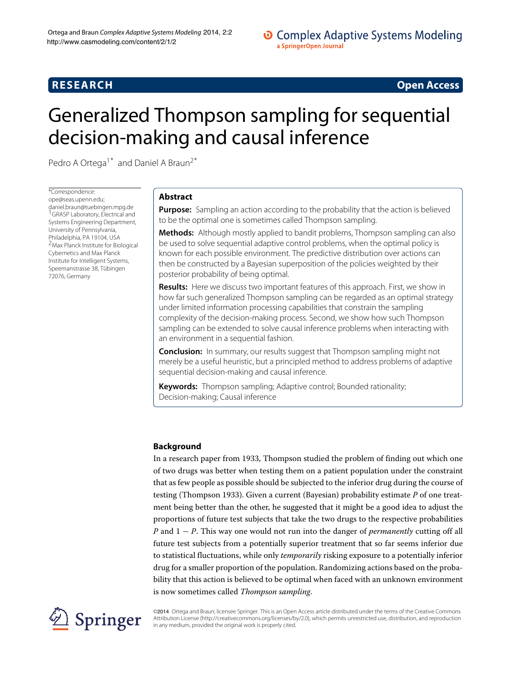# **RESEARCH Open Access**

# Generalized Thompson sampling for sequential decision-making and causal inference

Pedro A Ortega<sup>1\*</sup> and Daniel A Braun<sup>2\*</sup>

\*Correspondence: [ope@seas.upenn.edu;](mailto: ope@seas.upenn.edu) [daniel.braun@tuebingen.mpg.de](mailto: daniel.braun@tuebingen.mpg.de) 1GRASP Laboratory, Electrical and Systems Engineering Department, University of Pennsylvania, Philadelphia, PA 19104, USA 2Max Planck Institute for Biological Cybernetics and Max Planck Institute for Intelligent Systems, Speemanstrasse 38, Tübingen 72076, Germany

# **Abstract**

**Purpose:** Sampling an action according to the probability that the action is believed to be the optimal one is sometimes called Thompson sampling.

**Methods:** Although mostly applied to bandit problems, Thompson sampling can also be used to solve sequential adaptive control problems, when the optimal policy is known for each possible environment. The predictive distribution over actions can then be constructed by a Bayesian superposition of the policies weighted by their posterior probability of being optimal.

**Results:** Here we discuss two important features of this approach. First, we show in how far such generalized Thompson sampling can be regarded as an optimal strategy under limited information processing capabilities that constrain the sampling complexity of the decision-making process. Second, we show how such Thompson sampling can be extended to solve causal inference problems when interacting with an environment in a sequential fashion.

**Conclusion:** In summary, our results suggest that Thompson sampling might not merely be a useful heuristic, but a principled method to address problems of adaptive sequential decision-making and causal inference.

**Keywords:** Thompson sampling; Adaptive control; Bounded rationality; Decision-making; Causal inference

# **Background**

In a research paper from 1933, Thompson studied the problem of finding out which one of two drugs was better when testing them on a patient population under the constraint that as few people as possible should be subjected to the inferior drug during the course of testing (Thompson [1933\)](#page-21-0). Given a current (Bayesian) probability estimate *P* of one treatment being better than the other, he suggested that it might be a good idea to adjust the proportions of future test subjects that take the two drugs to the respective probabilities *P* and 1 − *P*. This way one would not run into the danger of *permanently* cutting off all future test subjects from a potentially superior treatment that so far seems inferior due to statistical fluctuations, while only *temporarily* risking exposure to a potentially inferior drug for a smaller proportion of the population. Randomizing actions based on the probability that this action is believed to be optimal when faced with an unknown environment is now sometimes called *Thompson sampling*.



©2014 Ortega and Braun; licensee Springer. This is an Open Access article distributed under the terms of the Creative Commons Attribution License [\(http://creativecommons.org/licenses/by/2.0\)](http://creativecommons.org/licenses/by/2.0), which permits unrestricted use, distribution, and reproduction in any medium, provided the original work is properly cited.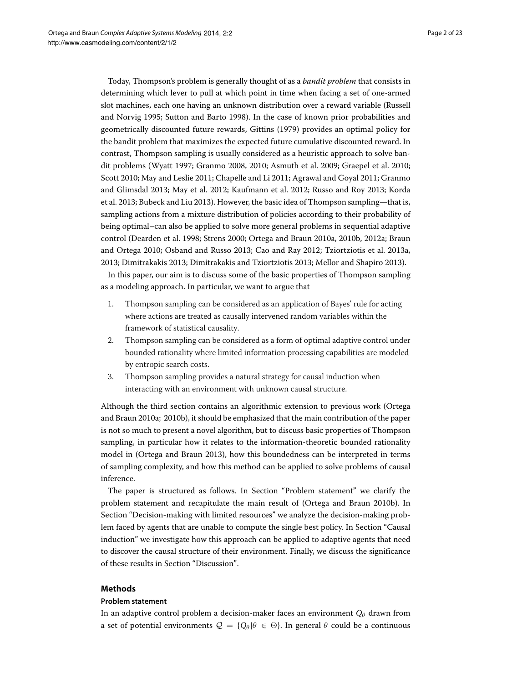Today, Thompson's problem is generally thought of as a *bandit problem* that consists in determining which lever to pull at which point in time when facing a set of one-armed slot machines, each one having an unknown distribution over a reward variable (Russell and Norvig [1995;](#page-21-1) Sutton and Barto [1998\)](#page-21-2). In the case of known prior probabilities and geometrically discounted future rewards, Gittins [\(1979\)](#page-20-0) provides an optimal policy for the bandit problem that maximizes the expected future cumulative discounted reward. In contrast, Thompson sampling is usually considered as a heuristic approach to solve bandit problems (Wyatt [1997;](#page-22-0) Granmo [2008,](#page-20-1) [2010;](#page-20-2) Asmuth et al. [2009;](#page-19-0) Graepel et al. [2010;](#page-20-3) Scott [2010;](#page-21-3) May and Leslie [2011;](#page-21-4) Chapelle and Li [2011;](#page-20-4) Agrawal and Goyal [2011;](#page-19-1) Granmo and Glimsdal [2013;](#page-20-5) May et al. [2012;](#page-21-5) Kaufmann et al. [2012;](#page-20-6) Russo and Roy [2013;](#page-21-6) Korda et al. [2013;](#page-20-7) Bubeck and Liu [2013\)](#page-20-8). However, the basic idea of Thompson sampling—that is, sampling actions from a mixture distribution of policies according to their probability of being optimal–can also be applied to solve more general problems in sequential adaptive control (Dearden et al. [1998;](#page-20-9) Strens [2000;](#page-21-7) Ortega and Braun [2010a,](#page-21-8) [2010b,](#page-21-9) [2012a;](#page-21-10) Braun and Ortega [2010;](#page-20-10) Osband and Russo [2013;](#page-21-11) Cao and Ray [2012;](#page-20-11) Tziortziotis et al. [2013a,](#page-21-12) [2013;](#page-21-13) Dimitrakakis [2013;](#page-20-12) Dimitrakakis and Tziortziotis [2013;](#page-20-13) Mellor and Shapiro [2013\)](#page-21-14).

In this paper, our aim is to discuss some of the basic properties of Thompson sampling as a modeling approach. In particular, we want to argue that

- 1. Thompson sampling can be considered as an application of Bayes' rule for acting where actions are treated as causally intervened random variables within the framework of statistical causality.
- 2. Thompson sampling can be considered as a form of optimal adaptive control under bounded rationality where limited information processing capabilities are modeled by entropic search costs.
- 3. Thompson sampling provides a natural strategy for causal induction when interacting with an environment with unknown causal structure.

Although the third section contains an algorithmic extension to previous work (Ortega and Braun [2010a;](#page-21-8) [2010b\)](#page-21-9), it should be emphasized that the main contribution of the paper is not so much to present a novel algorithm, but to discuss basic properties of Thompson sampling, in particular how it relates to the information-theoretic bounded rationality model in (Ortega and Braun [2013\)](#page-21-15), how this boundedness can be interpreted in terms of sampling complexity, and how this method can be applied to solve problems of causal inference.

The paper is structured as follows. In Section ["Problem statement"](#page-1-0) we clarify the problem statement and recapitulate the main result of (Ortega and Braun [2010b\)](#page-21-9). In Section ["Decision-making with limited resources"](#page-5-0) we analyze the decision-making problem faced by agents that are unable to compute the single best policy. In Section ["Causal](#page-11-0) [induction"](#page-11-0) we investigate how this approach can be applied to adaptive agents that need to discover the causal structure of their environment. Finally, we discuss the significance of these results in Section ["Discussion"](#page-13-0).

# **Methods**

#### <span id="page-1-0"></span>**Problem statement**

In an adaptive control problem a decision-maker faces an environment  $Q_{\theta}$  drawn from a set of potential environments  $Q = \{Q_{\theta} | \theta \in \Theta\}$ . In general  $\theta$  could be a continuous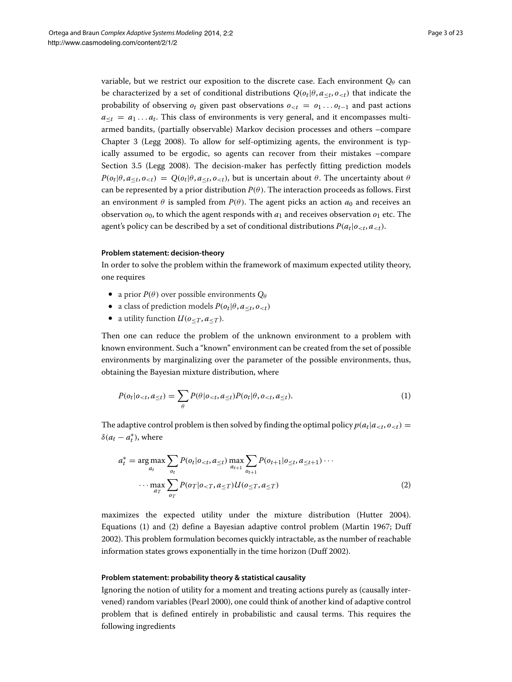variable, but we restrict our exposition to the discrete case. Each environment  $Q_{\theta}$  can be characterized by a set of conditional distributions  $Q(o_t | \theta, a_{\leq t}, o_{\leq t})$  that indicate the probability of observing  $o_t$  given past observations  $o_{< t} = o_1 \dots o_{t-1}$  and past actions  $a_{\leq t} = a_1 \dots a_t$ . This class of environments is very general, and it encompasses multiarmed bandits, (partially observable) Markov decision processes and others –compare Chapter 3 (Legg [2008\)](#page-20-14). To allow for self-optimizing agents, the environment is typically assumed to be ergodic, so agents can recover from their mistakes –compare Section 3.5 (Legg [2008\)](#page-20-14). The decision-maker has perfectly fitting prediction models  $P(o_t | \theta, a_{\leq t}, o_{\leq t}) = Q(o_t | \theta, a_{\leq t}, o_{\leq t})$ , but is uncertain about  $\theta$ . The uncertainty about  $\theta$ can be represented by a prior distribution  $P(\theta)$ . The interaction proceeds as follows. First an environment  $\theta$  is sampled from  $P(\theta)$ . The agent picks an action  $a_0$  and receives an observation  $o_0$ , to which the agent responds with  $a_1$  and receives observation  $o_1$  etc. The agent's policy can be described by a set of conditional distributions  $P(a_t|o_{< t}, a_{< t})$ .

#### **Problem statement: decision-theory**

In order to solve the problem within the framework of maximum expected utility theory, one requires

- a prior  $P(\theta)$  over possible environments  $Q_{\theta}$
- a class of prediction models  $P(o_t | \theta, a_{\leq t}, o_{\leq t})$
- a utility function  $U(o_{\leq T}, a_{\leq T})$ .

Then one can reduce the problem of the unknown environment to a problem with known environment. Such a "known" environment can be created from the set of possible environments by marginalizing over the parameter of the possible environments, thus, obtaining the Bayesian mixture distribution, where

<span id="page-2-0"></span>
$$
P(o_t|o_{< t}, a_{\leq t}) = \sum_{\theta} P(\theta|o_{< t}, a_{\leq t}) P(o_t|\theta, o_{< t}, a_{\leq t}). \tag{1}
$$

The adaptive control problem is then solved by finding the optimal policy  $p(a_t|a_{$  $\delta(a_t - a_t^*)$ , where

<span id="page-2-1"></span>
$$
a_t^* = \underset{a_t}{\arg \max} \sum_{o_t} P(o_t | o_{< t}, a_{\leq t}) \max_{a_{t+1}} \sum_{o_{t+1}} P(o_{t+1} | o_{\leq t}, a_{\leq t+1}) \cdots
$$

$$
\cdots \max_{a_T} \sum_{o_T} P(o_T | o_{< T}, a_{\leq T}) U(o_{\leq T}, a_{\leq T}) \tag{2}
$$

maximizes the expected utility under the mixture distribution (Hutter [2004\)](#page-20-15). Equations [\(1\)](#page-2-0) and [\(2\)](#page-2-1) define a Bayesian adaptive control problem (Martin [1967;](#page-21-16) Duff [2002\)](#page-20-16). This problem formulation becomes quickly intractable, as the number of reachable information states grows exponentially in the time horizon (Duff [2002\)](#page-20-16).

#### **Problem statement: probability theory & statistical causality**

Ignoring the notion of utility for a moment and treating actions purely as (causally intervened) random variables (Pearl [2000\)](#page-21-17), one could think of another kind of adaptive control problem that is defined entirely in probabilistic and causal terms. This requires the following ingredients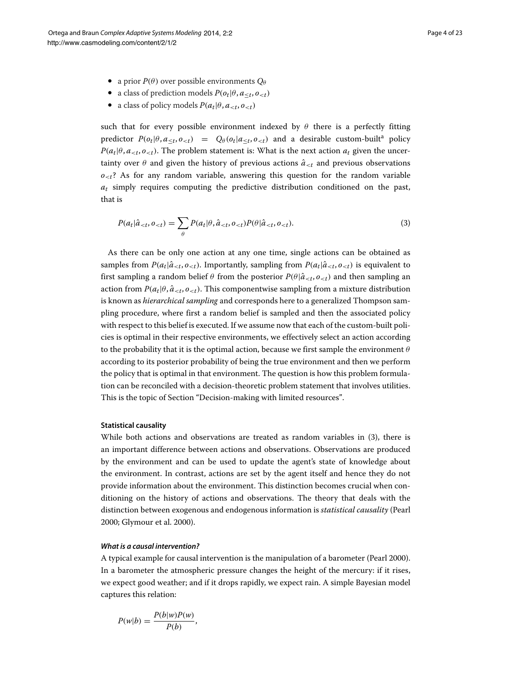- a prior  $P(\theta)$  over possible environments  $Q_{\theta}$
- a class of prediction models  $P(o_t | \theta, a_{\leq t}, o_{\leq t})$
- a class of policy models  $P(a_t | \theta, a_{\le t}, o_{\le t})$

such that for every possible environment indexed by  $\theta$  there is a perfectly fitting predictor  $P(o_t | \theta, a_{\leq t}, o_{\leq t}) = Q_\theta(o_t | a_{\leq t}, o_{\leq t})$  and a desirable custom-built<sup>a</sup> policy  $P(a_t | \theta, a_{. The problem statement is: What is the next action  $a_t$  given the uncer$ tainty over  $\theta$  and given the history of previous actions  $\hat{a}_{< t}$  and previous observations  $o_{\leq t}$ ? As for any random variable, answering this question for the random variable *at* simply requires computing the predictive distribution conditioned on the past, that is

<span id="page-3-0"></span>
$$
P(a_t|\hat{a}_{\n(3)
$$

As there can be only one action at any one time, single actions can be obtained as samples from  $P(a_t|\hat{a}_{. Importantly, sampling from  $P(a_t|\hat{a}_{ is equivalent to$$ first sampling a random belief  $\theta$  from the posterior  $P(\theta|\hat{a}_{\leq t}, o_{\leq t})$  and then sampling an action from  $P(a_t|\theta, \hat{a}_{\leq t}, o_{\leq t})$ . This componentwise sampling from a mixture distribution is known as *hierarchical sampling* and corresponds here to a generalized Thompson sampling procedure, where first a random belief is sampled and then the associated policy with respect to this belief is executed. If we assume now that each of the custom-built policies is optimal in their respective environments, we effectively select an action according to the probability that it is the optimal action, because we first sample the environment *θ* according to its posterior probability of being the true environment and then we perform the policy that is optimal in that environment. The question is how this problem formulation can be reconciled with a decision-theoretic problem statement that involves utilities. This is the topic of Section ["Decision-making with limited resources"](#page-5-0).

#### **Statistical causality**

While both actions and observations are treated as random variables in [\(3\)](#page-3-0), there is an important difference between actions and observations. Observations are produced by the environment and can be used to update the agent's state of knowledge about the environment. In contrast, actions are set by the agent itself and hence they do not provide information about the environment. This distinction becomes crucial when conditioning on the history of actions and observations. The theory that deals with the distinction between exogenous and endogenous information is *statistical causality* (Pearl [2000;](#page-21-17) Glymour et al. [2000\)](#page-20-17).

# *What is a causal intervention?*

A typical example for causal intervention is the manipulation of a barometer (Pearl [2000\)](#page-21-17). In a barometer the atmospheric pressure changes the height of the mercury: if it rises, we expect good weather; and if it drops rapidly, we expect rain. A simple Bayesian model captures this relation:

$$
P(w|b) = \frac{P(b|w)P(w)}{P(b)},
$$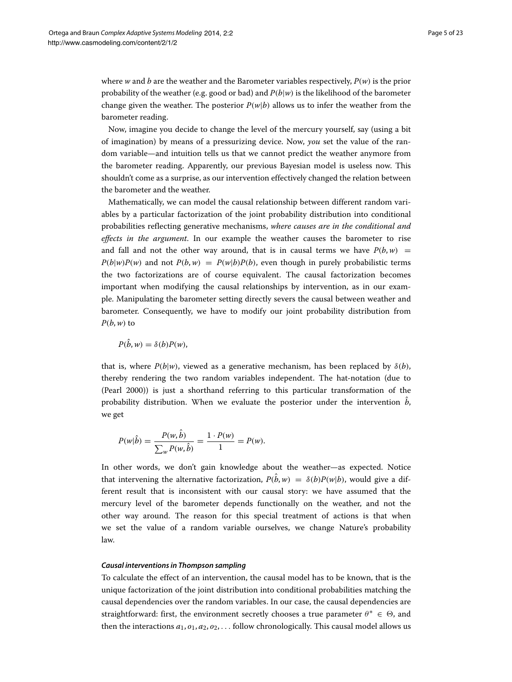where *w* and *b* are the weather and the Barometer variables respectively, *P(w)* is the prior probability of the weather (e.g. good or bad) and *P(b*|*w)* is the likelihood of the barometer change given the weather. The posterior  $P(w|b)$  allows us to infer the weather from the barometer reading.

Now, imagine you decide to change the level of the mercury yourself, say (using a bit of imagination) by means of a pressurizing device. Now, *you* set the value of the random variable—and intuition tells us that we cannot predict the weather anymore from the barometer reading. Apparently, our previous Bayesian model is useless now. This shouldn't come as a surprise, as our intervention effectively changed the relation between the barometer and the weather.

Mathematically, we can model the causal relationship between different random variables by a particular factorization of the joint probability distribution into conditional probabilities reflecting generative mechanisms, *where causes are in the conditional and effects in the argument*. In our example the weather causes the barometer to rise and fall and not the other way around, that is in causal terms we have  $P(b, w)$  =  $P(b|w)P(w)$  and not  $P(b,w) = P(w|b)P(b)$ , even though in purely probabilistic terms the two factorizations are of course equivalent. The causal factorization becomes important when modifying the causal relationships by intervention, as in our example. Manipulating the barometer setting directly severs the causal between weather and barometer. Consequently, we have to modify our joint probability distribution from  $P(b, w)$  to

 $P(b, w) = \delta(b)P(w)$ ,

that is, where  $P(b|w)$ , viewed as a generative mechanism, has been replaced by  $\delta(b)$ , thereby rendering the two random variables independent. The hat-notation (due to (Pearl [2000\)](#page-21-17)) is just a shorthand referring to this particular transformation of the probability distribution. When we evaluate the posterior under the intervention b, we get

$$
P(w|\hat{b}) = \frac{P(w, \hat{b})}{\sum_{w} P(w, \hat{b})} = \frac{1 \cdot P(w)}{1} = P(w).
$$

In other words, we don't gain knowledge about the weather—as expected. Notice that intervening the alternative factorization,  $P(b, w) = \delta(b)P(w|b)$ , would give a different result that is inconsistent with our causal story: we have assumed that the mercury level of the barometer depends functionally on the weather, and not the other way around. The reason for this special treatment of actions is that when we set the value of a random variable ourselves, we change Nature's probability law.

#### *Causal interventions in Thompson sampling*

To calculate the effect of an intervention, the causal model has to be known, that is the unique factorization of the joint distribution into conditional probabilities matching the causal dependencies over the random variables. In our case, the causal dependencies are straightforward: first, the environment secretly chooses a true parameter  $\theta^* \in \Theta$ , and then the interactions  $a_1$ ,  $o_1$ ,  $a_2$ ,  $o_2$ ,  $\dots$  follow chronologically. This causal model allows us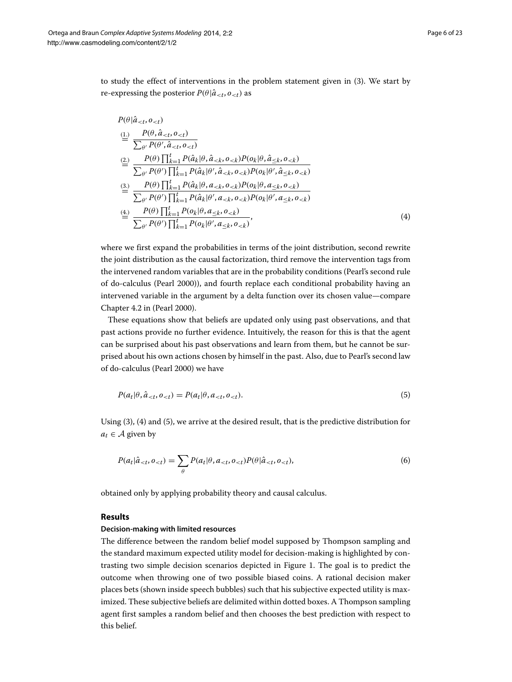to study the effect of interventions in the problem statement given in [\(3\)](#page-3-0). We start by re-expressing the posterior  $P(\theta | \hat{a}_{< t}, o_{< t})$  as

<span id="page-5-1"></span>
$$
P(\theta | \hat{a}_{\n
$$
\stackrel{\text{(1)}}{=} \frac{P(\theta, \hat{a}_{\n
$$
\stackrel{\text{(2)}}{=} \frac{P(\theta) \prod_{k=1}^{t} P(\hat{a}_k | \theta, \hat{a}_{\n
$$
\stackrel{\text{(3)}}{=} \frac{P(\theta) \prod_{k=1}^{t} P(\hat{a}_k | \theta, a_{\n
$$
\stackrel{\text{(4)}}{=} \frac{P(\theta) \prod_{k=1}^{t} P(o_k | \theta, a_{\leq k}, o_{
$$
$$
$$
$$
$$

where we first expand the probabilities in terms of the joint distribution, second rewrite the joint distribution as the causal factorization, third remove the intervention tags from the intervened random variables that are in the probability conditions (Pearl's second rule of do-calculus (Pearl [2000\)](#page-21-17)), and fourth replace each conditional probability having an intervened variable in the argument by a delta function over its chosen value—compare Chapter 4.2 in (Pearl [2000\)](#page-21-17).

These equations show that beliefs are updated only using past observations, and that past actions provide no further evidence. Intuitively, the reason for this is that the agent can be surprised about his past observations and learn from them, but he cannot be surprised about his own actions chosen by himself in the past. Also, due to Pearl's second law of do-calculus (Pearl [2000\)](#page-21-17) we have

<span id="page-5-2"></span>
$$
P(a_t | \theta, \hat{a}_{\n(5)
$$

Using [\(3\)](#page-3-0), [\(4\)](#page-5-1) and [\(5\)](#page-5-2), we arrive at the desired result, that is the predictive distribution for  $a_t \in A$  given by

$$
P(a_t|\hat{a}_{\n(6)
$$

obtained only by applying probability theory and causal calculus.

# **Results**

# <span id="page-5-0"></span>**Decision-making with limited resources**

<span id="page-5-3"></span>The difference between the random belief model supposed by Thompson sampling and the standard maximum expected utility model for decision-making is highlighted by contrasting two simple decision scenarios depicted in Figure [1.](#page-6-0) The goal is to predict the outcome when throwing one of two possible biased coins. A rational decision maker places bets (shown inside speech bubbles) such that his subjective expected utility is maximized. These subjective beliefs are delimited within dotted boxes. A Thompson sampling agent first samples a random belief and then chooses the best prediction with respect to this belief.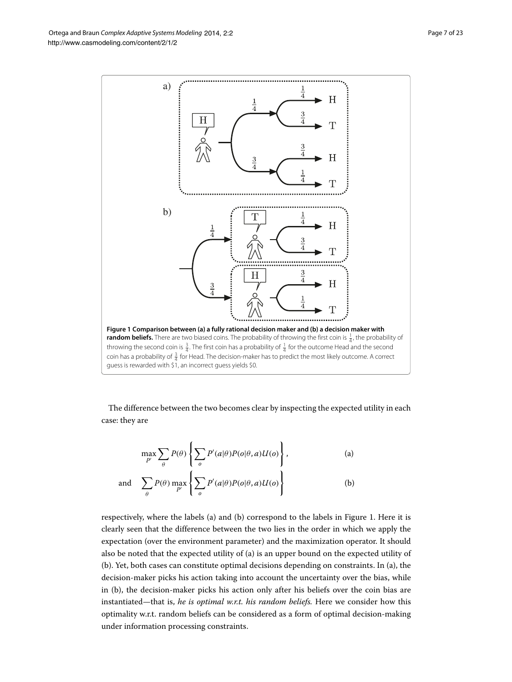<span id="page-6-0"></span>The difference between the two becomes clear by inspecting the expected utility in each case: they are

$$
\max_{P'} \sum_{\theta} P(\theta) \left\{ \sum_{o} P'(a|\theta) P(o|\theta, a) U(o) \right\},\tag{a}
$$

and 
$$
\sum_{\theta} P(\theta) \max_{P'} \left\{ \sum_{o} P'(a|\theta) P(o|\theta, a) U(o) \right\}
$$
 (b)

respectively, where the labels (a) and (b) correspond to the labels in Figure [1.](#page-6-0) Here it is clearly seen that the difference between the two lies in the order in which we apply the expectation (over the environment parameter) and the maximization operator. It should also be noted that the expected utility of (a) is an upper bound on the expected utility of (b). Yet, both cases can constitute optimal decisions depending on constraints. In (a), the decision-maker picks his action taking into account the uncertainty over the bias, while in (b), the decision-maker picks his action only after his beliefs over the coin bias are instantiated—that is, *he is optimal w.r.t. his random beliefs.* Here we consider how this optimality w.r.t. random beliefs can be considered as a form of optimal decision-making under information processing constraints.

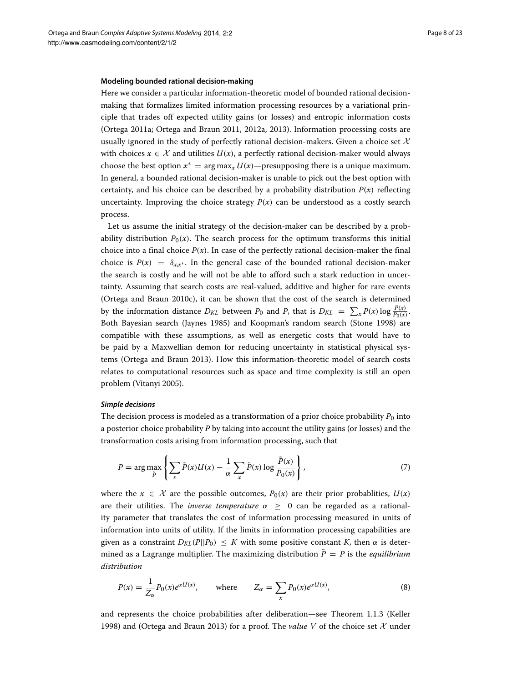#### **Modeling bounded rational decision-making**

Here we consider a particular information-theoretic model of bounded rational decisionmaking that formalizes limited information processing resources by a variational principle that trades off expected utility gains (or losses) and entropic information costs (Ortega [2011a;](#page-21-18) Ortega and Braun [2011,](#page-21-19) [2012a,](#page-21-10) [2013\)](#page-21-15). Information processing costs are usually ignored in the study of perfectly rational decision-makers. Given a choice set  $\mathcal X$ with choices  $x \in \mathcal{X}$  and utilities  $U(x)$ , a perfectly rational decision-maker would always choose the best option  $x^* = \arg \max_x U(x)$ —presupposing there is a unique maximum. In general, a bounded rational decision-maker is unable to pick out the best option with certainty, and his choice can be described by a probability distribution  $P(x)$  reflecting uncertainty. Improving the choice strategy  $P(x)$  can be understood as a costly search process.

Let us assume the initial strategy of the decision-maker can be described by a probability distribution  $P_0(x)$ . The search process for the optimum transforms this initial choice into a final choice  $P(x)$ . In case of the perfectly rational decision-maker the final choice is  $P(x) = \delta_{x,x^*}$ . In the general case of the bounded rational decision-maker the search is costly and he will not be able to afford such a stark reduction in uncertainty. Assuming that search costs are real-valued, additive and higher for rare events (Ortega and Braun [2010c\)](#page-21-20), it can be shown that the cost of the search is determined by the information distance  $D_{KL}$  between  $P_0$  and  $P$ , that is  $D_{KL} = \sum_{x} P(x) \log \frac{P(x)}{P_0(x)}$ . Both Bayesian search (Jaynes [1985\)](#page-20-18) and Koopman's random search (Stone [1998\)](#page-21-21) are compatible with these assumptions, as well as energetic costs that would have to be paid by a Maxwellian demon for reducing uncertainty in statistical physical systems (Ortega and Braun [2013\)](#page-21-15). How this information-theoretic model of search costs relates to computational resources such as space and time complexity is still an open problem (Vitanyi [2005\)](#page-22-1).

#### *Simple decisions*

The decision process is modeled as a transformation of a prior choice probability  $P_0$  into a posterior choice probability *P* by taking into account the utility gains (or losses) and the transformation costs arising from information processing, such that

$$
P = \arg \max_{\tilde{P}} \left\{ \sum_{x} \tilde{P}(x) U(x) - \frac{1}{\alpha} \sum_{x} \tilde{P}(x) \log \frac{\tilde{P}(x)}{P_0(x)} \right\},\tag{7}
$$

where the  $x \in \mathcal{X}$  are the possible outcomes,  $P_0(x)$  are their prior probablities,  $U(x)$ are their utilities. The *inverse temperature*  $\alpha > 0$  can be regarded as a rationality parameter that translates the cost of information processing measured in units of information into units of utility. If the limits in information processing capabilities are given as a constraint  $D_{KL}(P||P_0) \leq K$  with some positive constant K, then  $\alpha$  is determined as a Lagrange multiplier. The maximizing distribution  $\tilde{P} = P$  is the *equilibrium distribution*

<span id="page-7-0"></span>
$$
P(x) = \frac{1}{Z_{\alpha}} P_0(x) e^{\alpha U(x)}, \quad \text{where} \quad Z_{\alpha} = \sum_{x} P_0(x) e^{\alpha U(x)}, \tag{8}
$$

and represents the choice probabilities after deliberation—see Theorem 1.1.3 (Keller [1998\)](#page-20-19) and (Ortega and Braun [2013\)](#page-21-15) for a proof. The *value V* of the choice set X under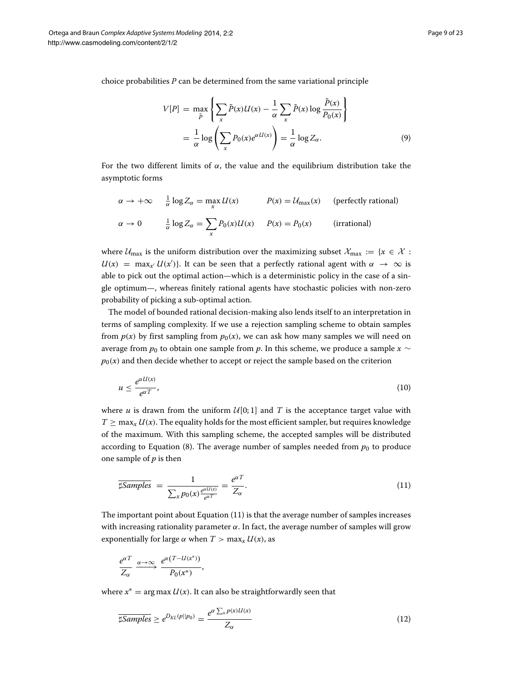choice probabilities *P* can be determined from the same variational principle

$$
V[P] = \max_{\tilde{P}} \left\{ \sum_{x} \tilde{P}(x) U(x) - \frac{1}{\alpha} \sum_{x} \tilde{P}(x) \log \frac{\tilde{P}(x)}{P_0(x)} \right\}
$$

$$
= \frac{1}{\alpha} \log \left( \sum_{x} P_0(x) e^{\alpha U(x)} \right) = \frac{1}{\alpha} \log Z_\alpha.
$$
(9)

For the two different limits of  $\alpha$ , the value and the equilibrium distribution take the asymptotic forms

$$
\alpha \to +\infty \quad \frac{1}{\alpha} \log Z_{\alpha} = \max_{x} U(x) \qquad P(x) = \mathcal{U}_{\text{max}}(x) \quad \text{(perfectly rational)}
$$
\n
$$
\alpha \to 0 \qquad \frac{1}{\alpha} \log Z_{\alpha} = \sum_{x} P_0(x) U(x) \qquad P(x) = P_0(x) \qquad \text{(irrational)}
$$

where  $U_{\text{max}}$  is the uniform distribution over the maximizing subset  $\mathcal{X}_{\text{max}} := \{x \in \mathcal{X} :$  $U(x) = \max_{x'} U(x')$ . It can be seen that a perfectly rational agent with  $\alpha \to \infty$  is able to pick out the optimal action—which is a deterministic policy in the case of a single optimum—, whereas finitely rational agents have stochastic policies with non-zero probability of picking a sub-optimal action.

The model of bounded rational decision-making also lends itself to an interpretation in terms of sampling complexity. If we use a rejection sampling scheme to obtain samples from  $p(x)$  by first sampling from  $p_0(x)$ , we can ask how many samples we will need on average from  $p_0$  to obtain one sample from  $p$ . In this scheme, we produce a sample  $x \sim$  $p_0(x)$  and then decide whether to accept or reject the sample based on the criterion

$$
u \le \frac{e^{\alpha U(x)}}{e^{\alpha T}},\tag{10}
$$

where *u* is drawn from the uniform  $U[0; 1]$  and *T* is the acceptance target value with  $T \ge \max_x U(x)$ . The equality holds for the most efficient sampler, but requires knowledge of the maximum. With this sampling scheme, the accepted samples will be distributed according to Equation [\(8\)](#page-7-0). The average number of samples needed from  $p_0$  to produce one sample of *p* is then

<span id="page-8-0"></span>
$$
\overline{\sharp\mathit{Samples}} = \frac{1}{\sum_{x} p_0(x) \frac{e^{\alpha U(x)}}{e^{\alpha T}}} = \frac{e^{\alpha T}}{Z_{\alpha}}.
$$
\n(11)

The important point about Equation [\(11\)](#page-8-0) is that the average number of samples increases with increasing rationality parameter  $\alpha$ . In fact, the average number of samples will grow exponentially for large  $\alpha$  when  $T > \max_x U(x)$ , as

$$
\frac{e^{\alpha T}}{Z_{\alpha}} \xrightarrow{\alpha \to \infty} \frac{e^{\alpha (T - U(x^*))}}{P_0(x^*)},
$$

where  $x^* = \arg \max U(x)$ . It can also be straightforwardly seen that

$$
\overline{\sharp\mathit{Samples}} \ge e^{D_{KL}(p||p_0)} = \frac{e^{\alpha \sum_{x} p(x)U(x)}}{Z_{\alpha}} \tag{12}
$$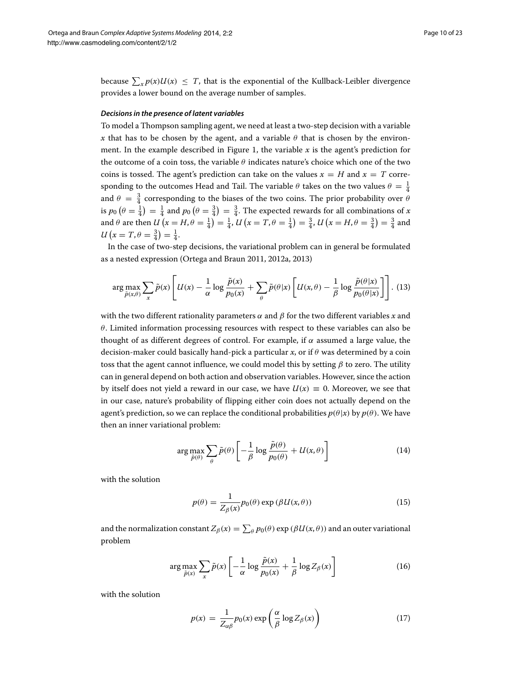because  $\sum_{x} p(x)U(x) \leq T$ , that is the exponential of the Kullback-Leibler divergence provides a lower bound on the average number of samples.

#### *Decisions in the presence of latent variables*

To model a Thompson sampling agent, we need at least a two-step decision with a variable *x* that has to be chosen by the agent, and a variable  $\theta$  that is chosen by the environ-ment. In the example described in Figure [1,](#page-6-0) the variable  $x$  is the agent's prediction for the outcome of a coin toss, the variable *θ* indicates nature's choice which one of the two coins is tossed. The agent's prediction can take on the values  $x = H$  and  $x = T$  corresponding to the outcomes Head and Tail. The variable  $\theta$  takes on the two values  $\theta = \frac{1}{4}$ and  $\theta = \frac{3}{4}$  corresponding to the biases of the two coins. The prior probability over  $\theta$ is  $p_0$   $(\theta = \frac{1}{4}) = \frac{1}{4}$  and  $p_0$   $(\theta = \frac{3}{4}) = \frac{3}{4}$ . The expected rewards for all combinations of *x* and  $\theta$  are then  $U(x = H, \theta = \frac{1}{4}) = \frac{1}{4}$ ,  $U(x = T, \theta = \frac{1}{4}) = \frac{3}{4}$ ,  $U(x = H, \theta = \frac{3}{4}) = \frac{3}{4}$  and  $U(x = T, \theta = \frac{3}{4}) = \frac{1}{4}.$ 

In the case of two-step decisions, the variational problem can in general be formulated as a nested expression (Ortega and Braun [2011,](#page-21-19) [2012a,](#page-21-10) [2013\)](#page-21-15)

$$
\arg\max_{\tilde{p}(x,\theta)} \sum_{x} \tilde{p}(x) \left[ U(x) - \frac{1}{\alpha} \log \frac{\tilde{p}(x)}{p_0(x)} + \sum_{\theta} \tilde{p}(\theta | x) \left[ U(x,\theta) - \frac{1}{\beta} \log \frac{\tilde{p}(\theta | x)}{p_0(\theta | x)} \right] \right].
$$
 (13)

with the two different rationality parameters *α* and *β* for the two different variables *x* and *θ*. Limited information processing resources with respect to these variables can also be thought of as different degrees of control. For example, if  $\alpha$  assumed a large value, the decision-maker could basically hand-pick a particular *x*, or if *θ* was determined by a coin toss that the agent cannot influence, we could model this by setting *β* to zero. The utility can in general depend on both action and observation variables. However, since the action by itself does not yield a reward in our case, we have  $U(x) \equiv 0$ . Moreover, we see that in our case, nature's probability of flipping either coin does not actually depend on the agent's prediction, so we can replace the conditional probabilities  $p(\theta|x)$  by  $p(\theta)$ . We have then an inner variational problem:

$$
\arg \max_{\tilde{p}(\theta)} \sum_{\theta} \tilde{p}(\theta) \left[ -\frac{1}{\beta} \log \frac{\tilde{p}(\theta)}{p_0(\theta)} + U(x, \theta) \right] \tag{14}
$$

with the solution

$$
p(\theta) = \frac{1}{Z_{\beta}(x)} p_0(\theta) \exp(\beta U(x, \theta))
$$
\n(15)

and the normalization constant  $Z_\beta(x) = \sum_\theta p_0(\theta) \exp\left(\beta U(x,\theta)\right)$  and an outer variational problem

<span id="page-9-1"></span>
$$
\arg\max_{\tilde{p}(x)} \sum_{x} \tilde{p}(x) \left[ -\frac{1}{\alpha} \log \frac{\tilde{p}(x)}{p_0(x)} + \frac{1}{\beta} \log Z_{\beta}(x) \right]
$$
(16)

with the solution

<span id="page-9-0"></span>
$$
p(x) = \frac{1}{Z_{\alpha\beta}} p_0(x) \exp\left(\frac{\alpha}{\beta} \log Z_{\beta}(x)\right)
$$
 (17)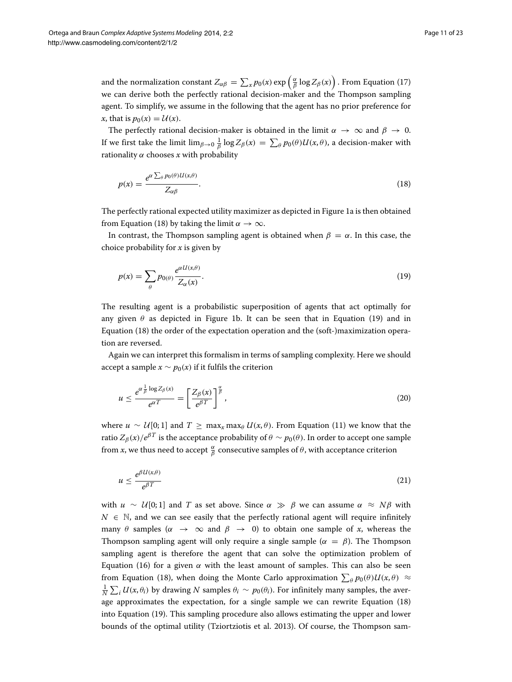and the normalization constant  $Z_{\alpha\beta} = \sum_x p_0(x) \exp\left(\frac{\alpha}{\beta} \log Z_\beta(x)\right)$  . From Equation [\(17\)](#page-9-0) we can derive both the perfectly rational decision-maker and the Thompson sampling agent. To simplify, we assume in the following that the agent has no prior preference for  $x$ , that is  $p_0(x) = U(x)$ .

The perfectly rational decision-maker is obtained in the limit  $\alpha \to \infty$  and  $\beta \to 0$ . If we first take the limit  $\lim_{\beta\to 0} \frac{1}{\beta} \log Z_\beta(x) \,=\, \sum_\theta p_0(\theta) U(x,\theta),$  a decision-maker with rationality *α* chooses *x* with probability

<span id="page-10-0"></span>
$$
p(x) = \frac{e^{\alpha \sum_{\theta} p_0(\theta)U(x,\theta)}}{Z_{\alpha\beta}}.
$$
\n(18)

The perfectly rational expected utility maximizer as depicted in Figure [1a](#page-6-0) is then obtained from Equation [\(18\)](#page-10-0) by taking the limit  $\alpha \to \infty$ .

In contrast, the Thompson sampling agent is obtained when  $\beta = \alpha$ . In this case, the choice probability for *x* is given by

<span id="page-10-1"></span>
$$
p(x) = \sum_{\theta} p_{0(\theta)} \frac{e^{\alpha U(x,\theta)}}{Z_{\alpha}(x)}.
$$
\n(19)

The resulting agent is a probabilistic superposition of agents that act optimally for any given  $\theta$  as depicted in Figure [1b](#page-6-0). It can be seen that in Equation [\(19\)](#page-10-1) and in Equation [\(18\)](#page-10-0) the order of the expectation operation and the (soft-)maximization operation are reversed.

Again we can interpret this formalism in terms of sampling complexity. Here we should accept a sample  $x \sim p_0(x)$  if it fulfils the criterion

$$
u \le \frac{e^{\alpha \frac{1}{\beta} \log Z_{\beta}(x)}}{e^{\alpha T}} = \left[\frac{Z_{\beta}(x)}{e^{\beta T}}\right]^{\frac{\alpha}{\beta}},\tag{20}
$$

where  $u \sim U[0; 1]$  and  $T \ge \max_x \max_{\theta} U(x, \theta)$ . From Equation [\(11\)](#page-8-0) we know that the ratio  $Z_{\beta}(x)/e^{\beta T}$  is the acceptance probability of  $\theta \sim p_0(\theta)$ . In order to accept one sample from *x*, we thus need to accept  $\frac{\alpha}{\beta}$  consecutive samples of  $\theta$ , with acceptance criterion

$$
u \le \frac{e^{\beta U(x,\theta)}}{e^{\beta T}} \tag{21}
$$

with  $u \sim U[0; 1]$  and *T* as set above. Since  $\alpha \gg \beta$  we can assume  $\alpha \approx N\beta$  with  $N \in \mathbb{N}$ , and we can see easily that the perfectly rational agent will require infinitely many *θ* samples ( $\alpha \rightarrow \infty$  and  $\beta \rightarrow 0$ ) to obtain one sample of *x*, whereas the Thompson sampling agent will only require a single sample  $(\alpha = \beta)$ . The Thompson sampling agent is therefore the agent that can solve the optimization problem of Equation [\(16\)](#page-9-1) for a given  $α$  with the least amount of samples. This can also be seen from Equation [\(18\)](#page-10-0), when doing the Monte Carlo approximation  $\sum_{\theta} p_0(\theta) U(x, \theta) \approx$  $\frac{1}{N} \sum_i U(x, \theta_i)$  by drawing *N* samples  $\theta_i \sim p_0(\theta_i)$ . For infinitely many samples, the average approximates the expectation, for a single sample we can rewrite Equation [\(18\)](#page-10-0) into Equation [\(19\)](#page-10-1). This sampling procedure also allows estimating the upper and lower bounds of the optimal utility (Tziortziotis et al. [2013\)](#page-21-13). Of course, the Thompson sam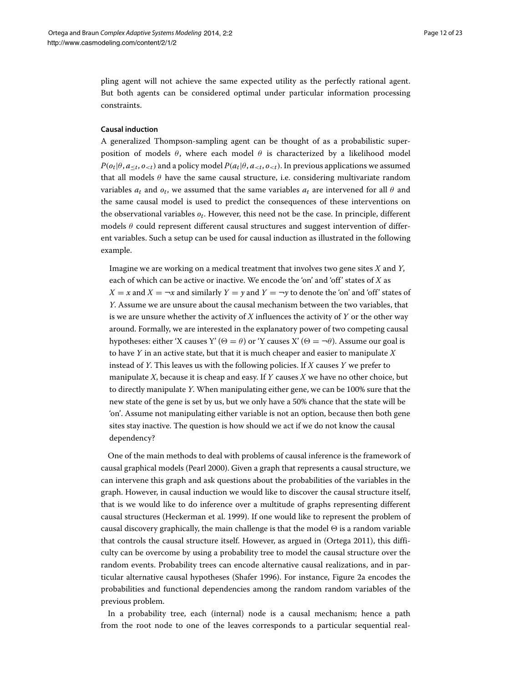pling agent will not achieve the same expected utility as the perfectly rational agent. But both agents can be considered optimal under particular information processing constraints.

# <span id="page-11-1"></span>**Causal induction**

<span id="page-11-0"></span>A generalized Thompson-sampling agent can be thought of as a probabilistic superposition of models  $\theta$ , where each model  $\theta$  is characterized by a likelihood model  $P(o_t | \theta, a_{\leq t}, o_{\leq t})$  and a policy model  $P(a_t | \theta, a_{\leq t}, o_{\leq t})$ . In previous applications we assumed that all models *θ* have the same causal structure, i.e. considering multivariate random variables  $a_t$  and  $o_t$ , we assumed that the same variables  $a_t$  are intervened for all  $\theta$  and the same causal model is used to predict the consequences of these interventions on the observational variables *ot*. However, this need not be the case. In principle, different models *θ* could represent different causal structures and suggest intervention of different variables. Such a setup can be used for causal induction as illustrated in the following example.

Imagine we are working on a medical treatment that involves two gene sites *X* and *Y*, each of which can be active or inactive. We encode the 'on' and 'off' states of *X* as  $X = x$  and  $X = \neg x$  and similarly  $Y = y$  and  $Y = \neg y$  to denote the 'on' and 'off' states of *Y*. Assume we are unsure about the causal mechanism between the two variables, that is we are unsure whether the activity of *X* influences the activity of *Y* or the other way around. Formally, we are interested in the explanatory power of two competing causal hypotheses: either 'X causes Y' ( $\Theta = \theta$ ) or 'Y causes X' ( $\Theta = \neg \theta$ ). Assume our goal is to have *Y* in an active state, but that it is much cheaper and easier to manipulate *X* instead of *Y*. This leaves us with the following policies. If *X* causes *Y* we prefer to manipulate *X*, because it is cheap and easy. If *Y* causes *X* we have no other choice, but to directly manipulate *Y*. When manipulating either gene, we can be 100% sure that the new state of the gene is set by us, but we only have a 50% chance that the state will be 'on'. Assume not manipulating either variable is not an option, because then both gene sites stay inactive. The question is how should we act if we do not know the causal dependency?

One of the main methods to deal with problems of causal inference is the framework of causal graphical models (Pearl [2000\)](#page-21-17). Given a graph that represents a causal structure, we can intervene this graph and ask questions about the probabilities of the variables in the graph. However, in causal induction we would like to discover the causal structure itself, that is we would like to do inference over a multitude of graphs representing different causal structures (Heckerman et al. [1999\)](#page-20-20). If one would like to represent the problem of causal discovery graphically, the main challenge is that the model  $\Theta$  is a random variable that controls the causal structure itself. However, as argued in (Ortega [2011\)](#page-21-22), this difficulty can be overcome by using a probability tree to model the causal structure over the random events. Probability trees can encode alternative causal realizations, and in particular alternative causal hypotheses (Shafer [1996\)](#page-21-23). For instance, Figure [2a](#page-12-0) encodes the probabilities and functional dependencies among the random random variables of the previous problem.

In a probability tree, each (internal) node is a causal mechanism; hence a path from the root node to one of the leaves corresponds to a particular sequential real-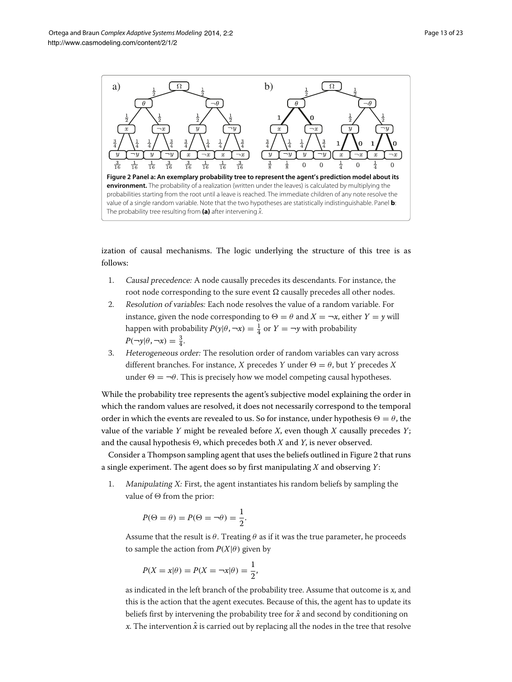

<span id="page-12-0"></span>ization of causal mechanisms. The logic underlying the structure of this tree is as follows:

- 1. Causal precedence: A node causally precedes its descendants. For instance, the root node corresponding to the sure event  $\Omega$  causally precedes all other nodes.
- 2. Resolution of variables: Each node resolves the value of a random variable. For instance, given the node corresponding to  $\Theta = \theta$  and  $X = \neg x$ , either  $Y = y$  will happen with probability  $P(y|\theta, \neg x) = \frac{1}{4}$  or  $Y = \neg y$  with probability  $P(\neg y | \theta, \neg x) = \frac{3}{4}.$
- 3. Heterogeneous order: The resolution order of random variables can vary across different branches. For instance, X precedes Y under  $\Theta = \theta$ , but Y precedes X under  $\Theta = \neg \theta$ . This is precisely how we model competing causal hypotheses.

While the probability tree represents the agent's subjective model explaining the order in which the random values are resolved, it does not necessarily correspond to the temporal order in which the events are revealed to us. So for instance, under hypothesis  $\Theta = \theta$ , the value of the variable *Y* might be revealed before *X*, even though *X* causally precedes *Y*; and the causal hypothesis  $\Theta$ , which precedes both *X* and *Y*, is never observed.

Consider a Thompson sampling agent that uses the beliefs outlined in Figure [2](#page-12-0) that runs a single experiment. The agent does so by first manipulating *X* and observing *Y*:

1. Manipulating X: First, the agent instantiates his random beliefs by sampling the value of  $\Theta$  from the prior:

$$
P(\Theta = \theta) = P(\Theta = \neg \theta) = \frac{1}{2}.
$$

Assume that the result is  $\theta$ . Treating  $\theta$  as if it was the true parameter, he proceeds to sample the action from  $P(X|\theta)$  given by

$$
P(X = x | \theta) = P(X = \neg x | \theta) = \frac{1}{2},
$$

as indicated in the left branch of the probability tree. Assume that outcome is <sup>x</sup>, and this is the action that the agent executes. Because of this, the agent has to update its beliefs first by intervening the probability tree for  $\hat{x}$  and second by conditioning on x. The intervention  $\hat{x}$  is carried out by replacing all the nodes in the tree that resolve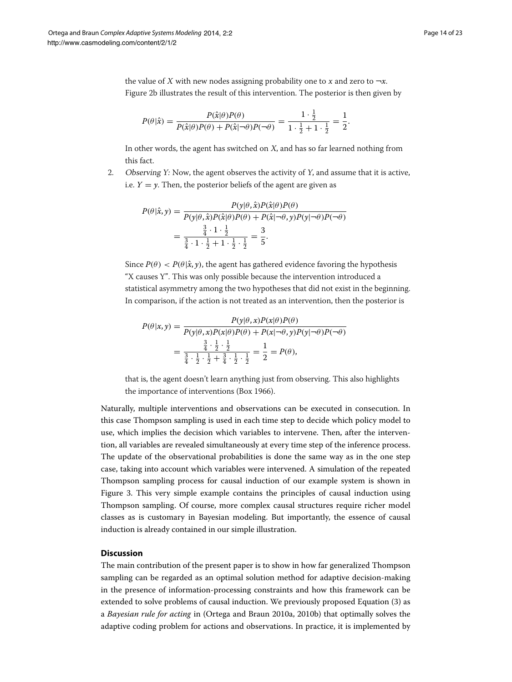the value of X with new nodes assigning probability one to x and zero to  $\neg x$ . Figure [2b](#page-12-0) illustrates the result of this intervention. The posterior is then given by

$$
P(\theta|\hat{x}) = \frac{P(\hat{x}|\theta)P(\theta)}{P(\hat{x}|\theta)P(\theta) + P(\hat{x}|\neg\theta)P(\neg\theta)} = \frac{1 \cdot \frac{1}{2}}{1 \cdot \frac{1}{2} + 1 \cdot \frac{1}{2}} = \frac{1}{2}.
$$

In other words, the agent has switched on  $X$ , and has so far learned nothing from this fact.

2. Observing Y: Now, the agent observes the activity of Y, and assume that it is active, i.e.  $Y = y$ . Then, the posterior beliefs of the agent are given as

$$
P(\theta|\hat{x}, y) = \frac{P(y|\theta, \hat{x})P(\hat{x}|\theta)P(\theta)}{P(y|\theta, \hat{x})P(\hat{x}|\theta)P(\theta) + P(\hat{x}|\neg\theta, y)P(y|\neg\theta)P(\neg\theta)}
$$
  
= 
$$
\frac{\frac{3}{4} \cdot 1 \cdot \frac{1}{2}}{\frac{3}{4} \cdot 1 \cdot \frac{1}{2} + 1 \cdot \frac{1}{2} \cdot \frac{1}{2}} = \frac{3}{5}.
$$

Since  $P(\theta) < P(\theta|\hat{x}, y)$ , the agent has gathered evidence favoring the hypothesis "X causes Y". This was only possible because the intervention introduced a statistical asymmetry among the two hypotheses that did not exist in the beginning. In comparison, if the action is not treated as an intervention, then the posterior is

$$
P(\theta|x,y) = \frac{P(y|\theta,x)P(x|\theta)P(\theta)}{P(y|\theta,x)P(x|\theta)P(\theta) + P(x|\neg\theta,y)P(y|\neg\theta)P(\neg\theta)}
$$
  
= 
$$
\frac{\frac{3}{4} \cdot \frac{1}{2} \cdot \frac{1}{2}}{\frac{3}{4} \cdot \frac{1}{2} \cdot \frac{1}{2} + \frac{3}{4} \cdot \frac{1}{2} \cdot \frac{1}{2}} = \frac{1}{2} = P(\theta),
$$

that is, the agent doesn't learn anything just from observing. This also highlights the importance of interventions (Box [1966\)](#page-20-21).

Naturally, multiple interventions and observations can be executed in consecution. In this case Thompson sampling is used in each time step to decide which policy model to use, which implies the decision which variables to intervene. Then, after the intervention, all variables are revealed simultaneously at every time step of the inference process. The update of the observational probabilities is done the same way as in the one step case, taking into account which variables were intervened. A simulation of the repeated Thompson sampling process for causal induction of our example system is shown in Figure [3.](#page-14-0) This very simple example contains the principles of causal induction using Thompson sampling. Of course, more complex causal structures require richer model classes as is customary in Bayesian modeling. But importantly, the essence of causal induction is already contained in our simple illustration.

# <span id="page-13-0"></span>**Discussion**

The main contribution of the present paper is to show in how far generalized Thompson sampling can be regarded as an optimal solution method for adaptive decision-making in the presence of information-processing constraints and how this framework can be extended to solve problems of causal induction. We previously proposed Equation [\(3\)](#page-3-0) as a *Bayesian rule for acting* in (Ortega and Braun [2010a,](#page-21-8) [2010b\)](#page-21-9) that optimally solves the adaptive coding problem for actions and observations. In practice, it is implemented by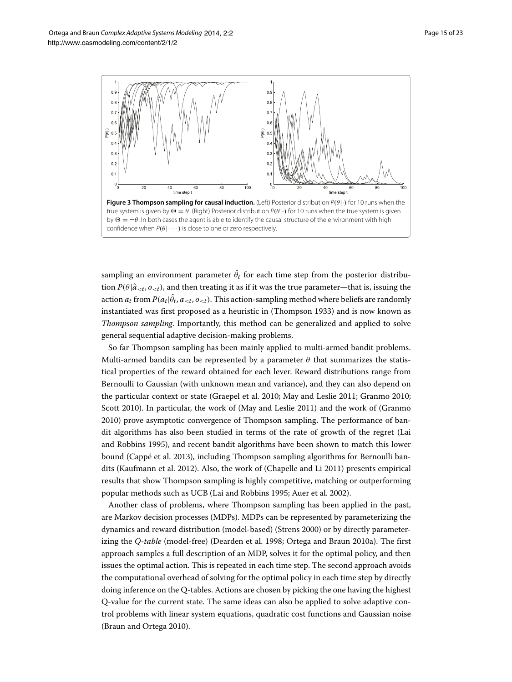

<span id="page-14-0"></span>sampling an environment parameter  $\theta_t$  for each time step from the posterior distribution  $P(\theta|\hat{a}_{< t}, o_{< t})$ , and then treating it as if it was the true parameter—that is, issuing the action  $a_t$  from  $P(a_t | \theta_t, a_{< t}, o_{< t})$ . This action-sampling method where beliefs are randomly instantiated was first proposed as a heuristic in (Thompson [1933\)](#page-21-0) and is now known as *Thompson sampling*. Importantly, this method can be generalized and applied to solve general sequential adaptive decision-making problems.

So far Thompson sampling has been mainly applied to multi-armed bandit problems. Multi-armed bandits can be represented by a parameter  $\theta$  that summarizes the statistical properties of the reward obtained for each lever. Reward distributions range from Bernoulli to Gaussian (with unknown mean and variance), and they can also depend on the particular context or state (Graepel et al. [2010;](#page-20-3) May and Leslie [2011;](#page-21-4) Granmo [2010;](#page-20-2) Scott [2010\)](#page-21-3). In particular, the work of (May and Leslie [2011\)](#page-21-4) and the work of (Granmo [2010\)](#page-20-2) prove asymptotic convergence of Thompson sampling. The performance of bandit algorithms has also been studied in terms of the rate of growth of the regret (Lai and Robbins [1995\)](#page-20-22), and recent bandit algorithms have been shown to match this lower bound (Cappé et al. [2013\)](#page-20-23), including Thompson sampling algorithms for Bernoulli bandits (Kaufmann et al. [2012\)](#page-20-6). Also, the work of (Chapelle and Li [2011\)](#page-20-4) presents empirical results that show Thompson sampling is highly competitive, matching or outperforming popular methods such as UCB (Lai and Robbins [1995;](#page-20-22) Auer et al. [2002\)](#page-19-2).

Another class of problems, where Thompson sampling has been applied in the past, are Markov decision processes (MDPs). MDPs can be represented by parameterizing the dynamics and reward distribution (model-based) (Strens [2000\)](#page-21-7) or by directly parameterizing the *Q-table* (model-free) (Dearden et al. [1998;](#page-20-9) Ortega and Braun [2010a\)](#page-21-8). The first approach samples a full description of an MDP, solves it for the optimal policy, and then issues the optimal action. This is repeated in each time step. The second approach avoids the computational overhead of solving for the optimal policy in each time step by directly doing inference on the Q-tables. Actions are chosen by picking the one having the highest Q-value for the current state. The same ideas can also be applied to solve adaptive control problems with linear system equations, quadratic cost functions and Gaussian noise (Braun and Ortega [2010\)](#page-20-10).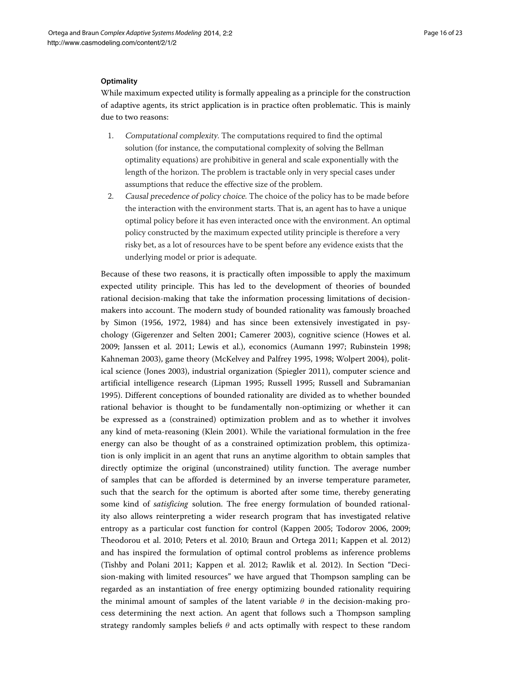### **Optimality**

While maximum expected utility is formally appealing as a principle for the construction of adaptive agents, its strict application is in practice often problematic. This is mainly due to two reasons:

- 1. Computational complexity. The computations required to find the optimal solution (for instance, the computational complexity of solving the Bellman optimality equations) are prohibitive in general and scale exponentially with the length of the horizon. The problem is tractable only in very special cases under assumptions that reduce the effective size of the problem.
- 2. Causal precedence of policy choice. The choice of the policy has to be made before the interaction with the environment starts. That is, an agent has to have a unique optimal policy before it has even interacted once with the environment. An optimal policy constructed by the maximum expected utility principle is therefore a very risky bet, as a lot of resources have to be spent before any evidence exists that the underlying model or prior is adequate.

Because of these two reasons, it is practically often impossible to apply the maximum expected utility principle. This has led to the development of theories of bounded rational decision-making that take the information processing limitations of decisionmakers into account. The modern study of bounded rationality was famously broached by Simon [\(1956,](#page-21-24) [1972,](#page-21-25) [1984\)](#page-21-26) and has since been extensively investigated in psychology (Gigerenzer and Selten [2001;](#page-20-24) Camerer [2003\)](#page-20-25), cognitive science (Howes et al. [2009;](#page-20-26) Janssen et al. [2011;](#page-20-27) Lewis et al.), economics (Aumann [1997;](#page-19-3) Rubinstein [1998;](#page-21-27) Kahneman [2003\)](#page-20-28), game theory (McKelvey and Palfrey [1995,](#page-21-28) [1998;](#page-21-29) Wolpert [2004\)](#page-22-2), political science (Jones [2003\)](#page-20-29), industrial organization (Spiegler [2011\)](#page-21-30), computer science and artificial intelligence research (Lipman [1995;](#page-21-31) Russell [1995;](#page-21-32) Russell and Subramanian [1995\)](#page-21-33). Different conceptions of bounded rationality are divided as to whether bounded rational behavior is thought to be fundamentally non-optimizing or whether it can be expressed as a (constrained) optimization problem and as to whether it involves any kind of meta-reasoning (Klein [2001\)](#page-20-30). While the variational formulation in the free energy can also be thought of as a constrained optimization problem, this optimization is only implicit in an agent that runs an anytime algorithm to obtain samples that directly optimize the original (unconstrained) utility function. The average number of samples that can be afforded is determined by an inverse temperature parameter, such that the search for the optimum is aborted after some time, thereby generating some kind of *satisficing* solution. The free energy formulation of bounded rationality also allows reinterpreting a wider research program that has investigated relative entropy as a particular cost function for control (Kappen [2005;](#page-20-31) Todorov [2006,](#page-21-34) [2009;](#page-21-35) Theodorou et al. [2010;](#page-21-36) Peters et al. [2010;](#page-21-37) Braun and Ortega [2011;](#page-20-32) Kappen et al. [2012\)](#page-20-33) and has inspired the formulation of optimal control problems as inference problems (Tishby and Polani [2011;](#page-21-38) Kappen et al. [2012;](#page-20-33) Rawlik et al. [2012\)](#page-21-39). In Section ["Deci](#page-5-3)[sion-making with limited resources"](#page-5-3) we have argued that Thompson sampling can be regarded as an instantiation of free energy optimizing bounded rationality requiring the minimal amount of samples of the latent variable  $\theta$  in the decision-making process determining the next action. An agent that follows such a Thompson sampling strategy randomly samples beliefs  $\theta$  and acts optimally with respect to these random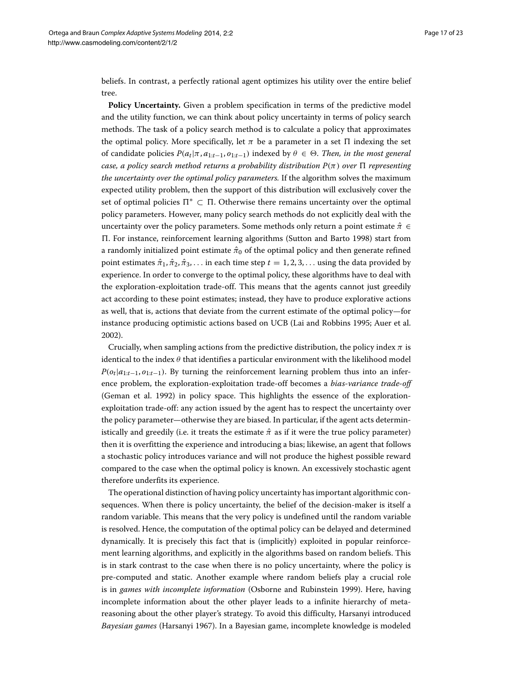beliefs. In contrast, a perfectly rational agent optimizes his utility over the entire belief tree.

Policy Uncertainty. Given a problem specification in terms of the predictive model and the utility function, we can think about policy uncertainty in terms of policy search methods. The task of a policy search method is to calculate a policy that approximates the optimal policy. More specifically, let  $\pi$  be a parameter in a set  $\Pi$  indexing the set of candidate policies  $P(a_t | \pi, a_{1:t-1}, o_{1:t-1})$  indexed by  $\theta \in \Theta$ . Then, in the most general *case, a policy search method returns a probability distribution P(π ) over representing the uncertainty over the optimal policy parameters.* If the algorithm solves the maximum expected utility problem, then the support of this distribution will exclusively cover the set of optimal policies  $\Pi^* \subset \Pi$ . Otherwise there remains uncertainty over the optimal policy parameters. However, many policy search methods do not explicitly deal with the uncertainty over the policy parameters. Some methods only return a point estimate *π*ˆ ∈ . For instance, reinforcement learning algorithms (Sutton and Barto [1998\)](#page-21-2) start from a randomly initialized point estimate  $\hat{\pi}_0$  of the optimal policy and then generate refined point estimates  $\hat{\pi}_1, \hat{\pi}_2, \hat{\pi}_3, \ldots$  in each time step  $t = 1, 2, 3, \ldots$  using the data provided by experience. In order to converge to the optimal policy, these algorithms have to deal with the exploration-exploitation trade-off. This means that the agents cannot just greedily act according to these point estimates; instead, they have to produce explorative actions as well, that is, actions that deviate from the current estimate of the optimal policy—for instance producing optimistic actions based on UCB (Lai and Robbins [1995;](#page-20-22) Auer et al. [2002\)](#page-19-2).

Crucially, when sampling actions from the predictive distribution, the policy index  $\pi$  is identical to the index *θ* that identifies a particular environment with the likelihood model  $P(o_t|a_{1:t-1}, o_{1:t-1})$ . By turning the reinforcement learning problem thus into an inference problem, the exploration-exploitation trade-off becomes a *bias-variance trade-off* (Geman et al. [1992\)](#page-20-34) in policy space. This highlights the essence of the explorationexploitation trade-off: any action issued by the agent has to respect the uncertainty over the policy parameter—otherwise they are biased. In particular, if the agent acts deterministically and greedily (i.e. it treats the estimate  $\hat{\pi}$  as if it were the true policy parameter) then it is overfitting the experience and introducing a bias; likewise, an agent that follows a stochastic policy introduces variance and will not produce the highest possible reward compared to the case when the optimal policy is known. An excessively stochastic agent therefore underfits its experience.

The operational distinction of having policy uncertainty has important algorithmic consequences. When there is policy uncertainty, the belief of the decision-maker is itself a random variable. This means that the very policy is undefined until the random variable is resolved. Hence, the computation of the optimal policy can be delayed and determined dynamically. It is precisely this fact that is (implicitly) exploited in popular reinforcement learning algorithms, and explicitly in the algorithms based on random beliefs. This is in stark contrast to the case when there is no policy uncertainty, where the policy is pre-computed and static. Another example where random beliefs play a crucial role is in *games with incomplete information* (Osborne and Rubinstein [1999\)](#page-21-40). Here, having incomplete information about the other player leads to a infinite hierarchy of metareasoning about the other player's strategy. To avoid this difficulty, Harsanyi introduced *Bayesian games* (Harsanyi [1967\)](#page-20-35). In a Bayesian game, incomplete knowledge is modeled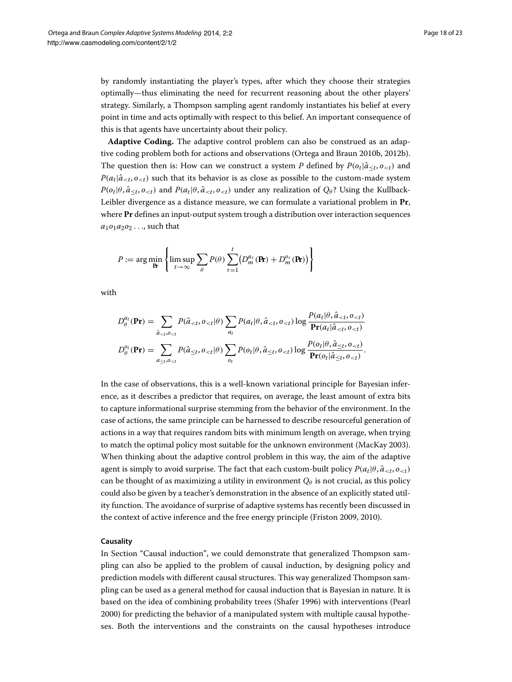by randomly instantiating the player's types, after which they choose their strategies optimally—thus eliminating the need for recurrent reasoning about the other players' strategy. Similarly, a Thompson sampling agent randomly instantiates his belief at every point in time and acts optimally with respect to this belief. An important consequence of this is that agents have uncertainty about their policy.

**Adaptive Coding.** The adaptive control problem can also be construed as an adaptive coding problem both for actions and observations (Ortega and Braun [2010b,](#page-21-9) [2012b\)](#page-21-41). The question then is: How can we construct a system *P* defined by  $P(o_t | \hat{a}_{\leq t}, o_{\leq t})$  and  $P(a_t|\hat{a}_{ such that its behavior is as close as possible to the custom-made system$  $P(o_t | \theta, \hat{a}_{\leq t}, o_{\leq t})$  and  $P(a_t | \theta, \hat{a}_{\leq t}, o_{\leq t})$  under any realization of  $Q_\theta$ ? Using the Kullback-Leibler divergence as a distance measure, we can formulate a variational problem in **Pr**, where **Pr** defines an input-output system trough a distribution over interaction sequences *a*1*o*1*a*2*o*<sup>2</sup> *...*, such that

$$
P := \arg\min_{\mathbf{R}} \left\{ \limsup_{t \to \infty} \sum_{\theta} P(\theta) \sum_{\tau=1}^{t} \left( D_m^{\alpha_{\tau}}(\mathbf{R}) + D_m^{\alpha_{\tau}}(\mathbf{R}) \right) \right\}
$$

with

$$
D_{\theta}^{a_t}(\mathbf{Pr}) = \sum_{\hat{a}_{
$$
D_{\theta}^{a_t}(\mathbf{Pr}) = \sum_{a_{\leq t}, o_{
$$
$$

In the case of observations, this is a well-known variational principle for Bayesian inference, as it describes a predictor that requires, on average, the least amount of extra bits to capture informational surprise stemming from the behavior of the environment. In the case of actions, the same principle can be harnessed to describe resourceful generation of actions in a way that requires random bits with minimum length on average, when trying to match the optimal policy most suitable for the unknown environment (MacKay [2003\)](#page-21-42). When thinking about the adaptive control problem in this way, the aim of the adaptive agent is simply to avoid surprise. The fact that each custom-built policy  $P(a_t | \theta, \hat{a}_{< t}, o_{< t})$ can be thought of as maximizing a utility in environment  $Q_{\theta}$  is not crucial, as this policy could also be given by a teacher's demonstration in the absence of an explicitly stated utility function. The avoidance of surprise of adaptive systems has recently been discussed in the context of active inference and the free energy principle (Friston [2009,](#page-20-36) [2010\)](#page-20-37).

# **Causality**

In Section ["Causal induction"](#page-11-1), we could demonstrate that generalized Thompson sampling can also be applied to the problem of causal induction, by designing policy and prediction models with different causal structures. This way generalized Thompson sampling can be used as a general method for causal induction that is Bayesian in nature. It is based on the idea of combining probability trees (Shafer [1996\)](#page-21-23) with interventions (Pearl [2000\)](#page-21-17) for predicting the behavior of a manipulated system with multiple causal hypotheses. Both the interventions and the constraints on the causal hypotheses introduce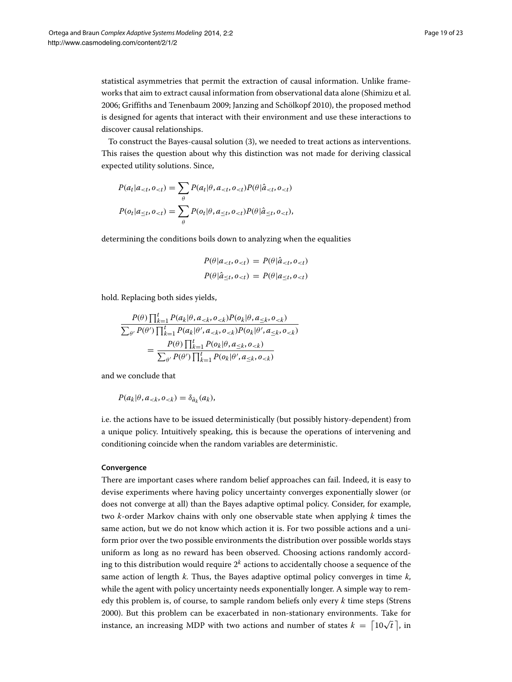statistical asymmetries that permit the extraction of causal information. Unlike frameworks that aim to extract causal information from observational data alone (Shimizu et al. [2006;](#page-21-43) Griffiths and Tenenbaum [2009;](#page-20-38) Janzing and Schölkopf [2010\)](#page-20-39), the proposed method is designed for agents that interact with their environment and use these interactions to discover causal relationships.

To construct the Bayes-causal solution [\(3\)](#page-3-0), we needed to treat actions as interventions. This raises the question about why this distinction was not made for deriving classical expected utility solutions. Since,

$$
P(a_t|a_{lt},o_{lt}) = \sum_{\theta} P(a_t|\theta,a_{lt},o_{lt})P(\theta|\hat{a}_{lt},o_{lt})
$$

$$
P(o_t|a_{lt},o_{lt}) = \sum_{\theta} P(o_t|\theta,a_{lt},o_{lt})P(\theta|\hat{a}_{lt},o_{lt}),
$$

determining the conditions boils down to analyzing when the equalities

$$
P(\theta|a_{  

$$
P(\theta|\hat{a}_{\leq t}, o_{
$$
$$

hold. Replacing both sides yields,

$$
\frac{P(\theta) \prod_{k=1}^{t} P(a_k | \theta, a_{< k}, o_{< k}) P(o_k | \theta, a_{< k}, o_{< k})}{\sum_{\theta'} P(\theta') \prod_{k=1}^{t} P(a_k | \theta', a_{< k}, o_{< k}) P(o_k | \theta', a_{< k}, o_{< k})}
$$
\n
$$
= \frac{P(\theta) \prod_{k=1}^{t} P(o_k | \theta, a_{< k}, o_{< k})}{\sum_{\theta'} P(\theta') \prod_{k=1}^{t} P(o_k | \theta', a_{< k}, o_{< k})}
$$

and we conclude that

 $P(a_k | \theta, a_{< k}, o_{< k}) = \delta_{\bar{a}_k}(a_k)$ ,

i.e. the actions have to be issued deterministically (but possibly history-dependent) from a unique policy. Intuitively speaking, this is because the operations of intervening and conditioning coincide when the random variables are deterministic.

### **Convergence**

There are important cases where random belief approaches can fail. Indeed, it is easy to devise experiments where having policy uncertainty converges exponentially slower (or does not converge at all) than the Bayes adaptive optimal policy. Consider, for example, two *k*-order Markov chains with only one observable state when applying *k* times the same action, but we do not know which action it is. For two possible actions and a uniform prior over the two possible environments the distribution over possible worlds stays uniform as long as no reward has been observed. Choosing actions randomly according to this distribution would require 2*<sup>k</sup>* actions to accidentally choose a sequence of the same action of length *k*. Thus, the Bayes adaptive optimal policy converges in time *k*, while the agent with policy uncertainty needs exponentially longer. A simple way to remedy this problem is, of course, to sample random beliefs only every *k* time steps (Strens [2000\)](#page-21-7). But this problem can be exacerbated in non-stationary environments. Take for instance, an increasing MDP with two actions and number of states  $k = \lceil 10\sqrt{t} \rceil$ , in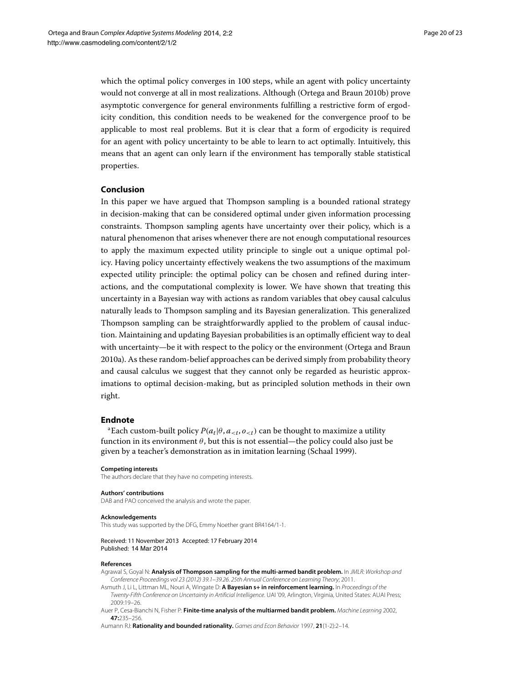which the optimal policy converges in 100 steps, while an agent with policy uncertainty would not converge at all in most realizations. Although (Ortega and Braun [2010b\)](#page-21-9) prove asymptotic convergence for general environments fulfilling a restrictive form of ergodicity condition, this condition needs to be weakened for the convergence proof to be applicable to most real problems. But it is clear that a form of ergodicity is required for an agent with policy uncertainty to be able to learn to act optimally. Intuitively, this means that an agent can only learn if the environment has temporally stable statistical properties.

# **Conclusion**

In this paper we have argued that Thompson sampling is a bounded rational strategy in decision-making that can be considered optimal under given information processing constraints. Thompson sampling agents have uncertainty over their policy, which is a natural phenomenon that arises whenever there are not enough computational resources to apply the maximum expected utility principle to single out a unique optimal policy. Having policy uncertainty effectively weakens the two assumptions of the maximum expected utility principle: the optimal policy can be chosen and refined during interactions, and the computational complexity is lower. We have shown that treating this uncertainty in a Bayesian way with actions as random variables that obey causal calculus naturally leads to Thompson sampling and its Bayesian generalization. This generalized Thompson sampling can be straightforwardly applied to the problem of causal induction. Maintaining and updating Bayesian probabilities is an optimally efficient way to deal with uncertainty—be it with respect to the policy or the environment (Ortega and Braun [2010a\)](#page-21-8). As these random-belief approaches can be derived simply from probability theory and causal calculus we suggest that they cannot only be regarded as heuristic approximations to optimal decision-making, but as principled solution methods in their own right.

#### **Endnote**

<sup>a</sup>Each custom-built policy  $P(a_t | \theta, a_{< t}, o_{< t})$  can be thought to maximize a utility function in its environment *θ*, but this is not essential—the policy could also just be given by a teacher's demonstration as in imitation learning (Schaal [1999\)](#page-21-44).

#### **Competing interests**

The authors declare that they have no competing interests.

#### **Authors' contributions**

DAB and PAO conceived the analysis and wrote the paper.

#### **Acknowledgements**

This study was supported by the DFG, Emmy Noether grant BR4164/1-1.

#### Received: 11 November 2013 Accepted: 17 February 2014 Published: 14 Mar 2014

#### **References**

<span id="page-19-1"></span>Agrawal S, Goyal N: **Analysis of Thompson sampling for the multi-armed bandit problem.** In JMLR: Workshop and Conference Proceedings vol 23 (2012) 39.1–39.26. 25th Annual Conference on Learning Theory; 2011.

<span id="page-19-0"></span>Asmuth J, Li L, Littman ML, Nouri A, Wingate D: **A Bayesian s+ in reinforcement learning.** In Proceedings of the Twenty-Fifth Conference on Uncertainty in Artificial Intelligence. UAI '09, Arlington, Virginia, United States: AUAI Press; 2009:19–26.

<span id="page-19-2"></span>Auer P, Cesa-Bianchi N, Fisher P: **Finite-time analysis of the multiarmed bandit problem.** Machine Learning 2002, **47:**235–256.

<span id="page-19-3"></span>Aumann RJ: **Rationality and bounded rationality.** Games and Econ Behavior 1997, **21**(1-2):2–14.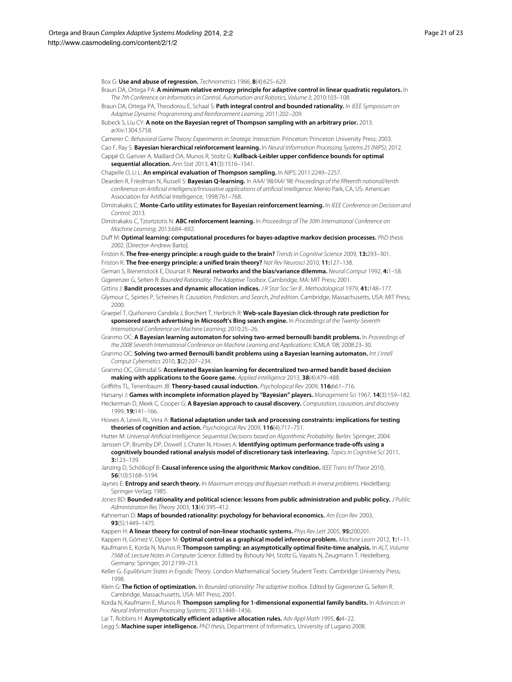<span id="page-20-21"></span>Box G: **Use and abuse of regression.** Technometrics 1966, **8**(4):625–629.

- <span id="page-20-10"></span>Braun DA, Ortega PA: **A minimum relative entropy principle for adaptive control in linear quadratic regulators.** In The 7th Conference on Informatics in Control, Automation and Robotics, Volume 3; 2010:103–108.
- <span id="page-20-32"></span>Braun DA, Ortega PA, Theodorou E, Schaal S: **Path integral control and bounded rationality.** In IEEE Symposium on Adaptive Dynamic Programming and Reinforcement Learning; 2011:202–209.
- <span id="page-20-8"></span>Bubeck S, Liu CY: **A note on the Bayesian regret of Thompson sampling with an arbitrary prior.** 2013. arXiv:1304.5758.
- <span id="page-20-25"></span>Camerer C: Behavioral Game Theory: Experiments in Strategic Interaction. Princeton: Princeton University Press; 2003.
- <span id="page-20-11"></span>Cao F, Ray S: **Bayesian hierarchical reinforcement learning.** In Neural Information Processing Systems 25 (NIPS); 2012.
- <span id="page-20-23"></span>Cappé O, Garivier A, Maillard OA, Munos R, Stoltz G: **Kullback-Leibler upper confidence bounds for optimal sequential allocation.** Ann Stat 2013, **41**(3):1516–1541.
- <span id="page-20-4"></span>Chapelle O, Li L: **An empirical evaluation of Thompson sampling.** In NIPS; 2011:2249–2257.
- <span id="page-20-9"></span>Dearden R, Friedman N, Russell S: **Bayesian Q-learning.** In AAAI '98/IAAI '98: Proceedings of the fifteenth national/tenth conference on Artificial intelligence/Innovative applications of artificial intelligence. Menlo Park, CA, US: American Association for Artificial Intelligence; 1998:761–768.
- <span id="page-20-12"></span>Dimitrakakis C: **Monte-Carlo utility estimates for Bayesian reinforcement learning.** In IEEE Conference on Decision and Control; 2013.
- <span id="page-20-13"></span>Dimitrakakis C, Tziortziotis N: **ABC reinforcement learning.** In Proceedings of The 30th International Conference on Machine Learning; 2013:684–692.
- <span id="page-20-16"></span>Duff M: **Optimal learning: computational procedures for bayes-adaptive markov decision processes.** PhD thesis 2002. [Director-Andrew Barto].
- <span id="page-20-36"></span>Friston K: **The free-energy principle: a rough guide to the brain?** Trends in Cognitive Science 2009, **13:**293–301. Friston K: **The free-energy principle: a unified brain theory?** Nat Rev Neurosci 2010, **11:**127–138.
- <span id="page-20-37"></span><span id="page-20-34"></span>Geman S, Bienenstock E, Doursat R: **Neural networks and the bias/variance dilemma.** Neural Comput 1992, **4:**1–58. Gigerenzer G, Selten R: Bounded Rationality: The Adaptive Toolbox. Cambridge, MA: MIT Press; 2001.
- <span id="page-20-24"></span><span id="page-20-0"></span>Gittins J: **Bandit processes and dynamic allocation indices.** J R Stat Soc Ser B, Methodological 1979, **41:**148-177.
- <span id="page-20-17"></span>Glymour C, Spirtes P, Scheines R: Causation, Prediction, and Search, 2nd edition. Cambridge, Massachusetts, USA: MIT Press; 2000.
- <span id="page-20-3"></span>Graepel T, Quiñonero Candela J, Borchert T, Herbrich R: **Web-scale Bayesian click-through rate prediction for sponsored search advertising in Microsoft's Bing search engine.** In Proceedings of the Twenty-Seventh International Conference on Machine Learning; 2010:25–26.
- <span id="page-20-1"></span>Granmo OC: **A Bayesian learning automaton for solving two-armed bernoulli bandit problems.** In Proceedings of the 2008 Seventh International Conference on Machine Learning and Applications: ICMLA '08; 2008:23–30.
- <span id="page-20-2"></span>Granmo OC: **Solving two-armed Bernoulli bandit problems using a Bayesian learning automaton.** Int J Intell Comput Cybernetics 2010, **3**(2):207–234.
- <span id="page-20-5"></span>Granmo OC, Glimsdal S: **Accelerated Bayesian learning for decentralized two-armed bandit based decision making with applications to the Goore game.** Applied intelligence 2013, **38**(4):479–488.
- <span id="page-20-38"></span>Griffiths TL, Tenenbaum JB: **Theory-based causal induction.** Psychological Rev 2009, **116:**661–716.
- <span id="page-20-35"></span><span id="page-20-20"></span>Harsanyi J: **Games with incomplete information played by "Bayesian" players.** Management Sci 1967, **14**(3):159–182. Heckerman D, Meek C, Cooper G: **A Bayesian approach to causal discovery.** Computation, causation, and discovery 1999, **19:**141–166.
- <span id="page-20-26"></span>Howes A, Lewis RL, Vera A: **Rational adaptation under task and processing constraints: implications for testing theories of cognition and action.** Psychological Rev 2009, **116**(4):717–751.

<span id="page-20-15"></span>Hutter M: Universal Artificial Intelligence: Sequential Decisions based on Algorithmic Probability. Berlin: Springer; 2004. Janssen CP, Brumby DP, Dowell J, Chater N, Howes A: **Identifying optimum performance trade-offs using a**

- <span id="page-20-27"></span>**cognitively bounded rational analysis model of discretionary task interleaving.** Topics in Cognitive Sci 2011, **3:**123–139.
- <span id="page-20-39"></span>Janzing D, Schölkopf B: **Causal inference using the algorithmic Markov condition.** IEEE Trans Inf Theor 2010, **56**(10):5168–5194.
- <span id="page-20-18"></span>Jaynes E: **Entropy and search theory.** In Maximum entropy and Bayesian methods in inverse problems. Heidelberg: Springer-Verlag; 1985.
- <span id="page-20-29"></span>Jones BD: **Bounded rationality and political science: lessons from public administration and public policy.** J Public Administration Res Theory 2003, **13**(4):395–412.
- <span id="page-20-28"></span>Kahneman D: **Maps of bounded rationality: psychology for behavioral economics.** Am Econ Rev 2003, **93**(5):1449–1475.
- <span id="page-20-31"></span>Kappen H: **A linear theory for control of non-linear stochastic systems.** Phys Rev Lett 2005, **95:**200201.
- <span id="page-20-33"></span>Kappen H, Gómez V, Opper M: **Optimal control as a graphical model inference problem.** Machine Learn 2012, **1:**1–11.
- <span id="page-20-6"></span>Kaufmann E, Korda N, Munos R: **Thompson sampling: an asymptotically optimal finite-time analysis.** In ALT, Volume 7568 of, Lecture Notes in Computer Science. Edited by Bshouty NH, Stoltz G, Vayatis N, Zeugmann T. Heidelberg,
- <span id="page-20-19"></span>Germany: Springer; 2012:199–213. Keller G: Equilibrium States in Ergodic Theory. London Mathematical Society Student Texts: Cambridge Univeristy Press; 1998.
- <span id="page-20-30"></span>Klein G: **The fiction of optimization.** In Bounded rationality: The adaptive toolbox. Edited by Gigerenzer G, Selten R. Cambridge, Massachusetts, USA: MIT Press; 2001.
- <span id="page-20-7"></span>Korda N, Kaufmann E, Munos R: **Thompson sampling for 1-dimensional exponential family bandits.** In Advances in Neural Information Processing Systems; 2013:1448–1456.
- <span id="page-20-22"></span>Lai T, Robbins H: **Asymptotically efficient adaptive allocation rules.** Adv Appl Math 1995, **6:**4–22.
- <span id="page-20-14"></span>Legg S: **Machine super intelligence.** PhD thesis, Department of Informatics, University of Lugano 2008.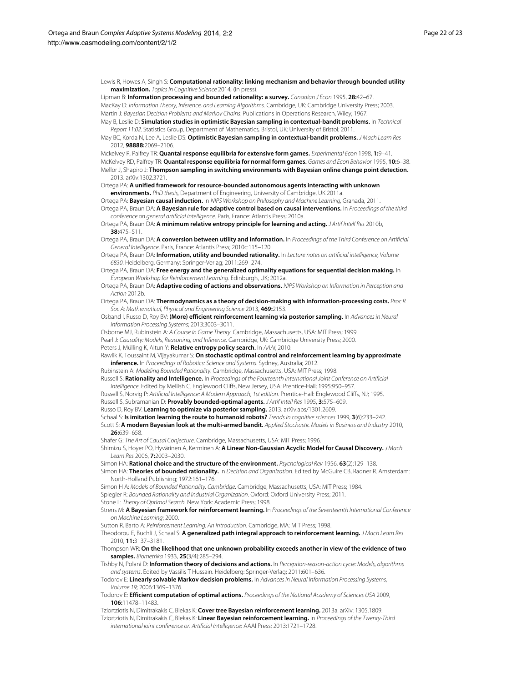Lewis R, Howes A, Singh S: **Computational rationality: linking mechanism and behavior through bounded utility maximization.** Topics in Cognitive Science 2014, (in press).

<span id="page-21-42"></span><span id="page-21-31"></span>Lipman B: **Information processing and bounded rationality: a survey.** Canadian J Econ 1995, **28:**42–67. MacKay D: Information Theory, Inference, and Learning Algorithms. Cambridge, UK: Cambridge University Press; 2003.

<span id="page-21-16"></span><span id="page-21-4"></span>Martin J: Bayesian Decision Problems and Markov Chains: Publications in Operations Research, Wiley; 1967. May B, Leslie D: **Simulation studies in optimistic Bayesian sampling in contextual-bandit problems.** In Technical Report 11:02. Statistics Group, Department of Mathematics, Bristol, UK: University of Bristol; 2011.

<span id="page-21-5"></span>May BC, Korda N, Lee A, Leslie DS: **Optimistic Bayesian sampling in contextual-bandit problems.** J Mach Learn Res 2012, **98888:**2069–2106.

<span id="page-21-29"></span><span id="page-21-28"></span><span id="page-21-14"></span>Mckelvey R, Palfrey TR: **Quantal response equilibria for extensive form games.** Experimental Econ 1998, **1:**9–41. McKelvey RD, Palfrey TR: **Quantal response equilibria for normal form games.** Games and Econ Behavior 1995, **10:**6–38. Mellor J, Shapiro J: **Thompson sampling in switching environments with Bayesian online change point detection.** 2013. arXiv:1302.3721.

<span id="page-21-18"></span>Ortega PA: **A unified framework for resource-bounded autonomous agents interacting with unknown environments.** PhD thesis, Department of Engineering, University of Cambridge, UK 2011a.

<span id="page-21-22"></span><span id="page-21-8"></span>Ortega PA: **Bayesian causal induction.** In NIPS Workshop on Philosophy and Machine Learning, Granada, 2011. Ortega PA, Braun DA: **A Bayesian rule for adaptive control based on causal interventions.** In Proceedings of the third conference on general artificial intelligence. Paris, France: Atlantis Press; 2010a.

<span id="page-21-9"></span>Ortega PA, Braun DA: **A minimum relative entropy principle for learning and acting.** J Artif Intell Res 2010b, **38:**475–511.

<span id="page-21-20"></span>Ortega PA, Braun DA: **A conversion between utility and information.** In Proceedings of the Third Conference on Artificial General Intelligence. Paris, France: Atlantis Press; 2010c:115–120.

<span id="page-21-19"></span>Ortega PA, Braun DA: **Information, utility and bounded rationality.** In Lecture notes on artificial intelligence, Volume 6830. Heidelberg, Germany: Springer-Verlag; 2011:269–274.

<span id="page-21-10"></span>Ortega PA, Braun DA: **Free energy and the generalized optimality equations for sequential decision making.** In European Workshop for Reinforcement Learning. Edinburgh, UK; 2012a.

<span id="page-21-41"></span>Ortega PA, Braun DA: **Adaptive coding of actions and observations.** NIPS Workshop on Information in Perception and Action 2012b.

<span id="page-21-15"></span>Ortega PA, Braun DA: **Thermodynamics as a theory of decision-making with information-processing costs.** Proc R Soc A: Mathematical, Physical and Engineering Science 2013, **469:**2153.

<span id="page-21-11"></span>Osband I, Russo D, Roy BV: **(More) efficient reinforcement learning via posterior sampling.** In Advances in Neural Information Processing Systems; 2013:3003–3011.

<span id="page-21-40"></span>Osborne MJ, Rubinstein A: A Course in Game Theory. Cambridge, Massachusetts, USA: MIT Press; 1999.

<span id="page-21-17"></span>Pearl J: Causality: Models, Reasoning, and Inference. Cambridge, UK: Cambridge University Press; 2000.

<span id="page-21-37"></span>Peters J, Mülling K, Altun Y: **Relative entropy policy search.** In AAAI; 2010.

<span id="page-21-39"></span>Rawlik K, Toussaint M, Vijayakumar S: **On stochastic optimal control and reinforcement learning by approximate inference.** In Proceedings of Robotics: Science and Systems. Sydney, Australia; 2012.

<span id="page-21-27"></span>Rubinstein A: Modeling Bounded Rationality. Cambridge, Massachusetts, USA: MIT Press; 1998. Russell S: **Rationality and Intelligence.** In Proceedings of the Fourteenth International Joint Conference on Artificial

<span id="page-21-32"></span>Intelligence. Edited by Mellish C. Englewood Cliffs, New Jersey, USA: Prentice-Hall; 1995:950–957.

<span id="page-21-1"></span>Russell S, Norvig P: Artificial Intelligence: A Modern Approach, 1st edition. Prentice-Hall: Englewood Cliffs, NJ; 1995. Russell S, Subramanian D: **Provably bounded-optimal agents.** J Artif Intell Res 1995, **3:**575–609.

<span id="page-21-33"></span><span id="page-21-6"></span>Russo D, Roy BV: **Learning to optimize via posterior sampling.** 2013. arXiv:abs/1301.2609.

<span id="page-21-44"></span>Schaal S: **Is imitation learning the route to humanoid robots?** Trends in cognitive sciences 1999, **3**(6):233–242.

<span id="page-21-3"></span>Scott S: **A modern Bayesian look at the multi-armed bandit.** Applied Stochastic Models in Business and Industry 2010, **26:**639–658.

<span id="page-21-23"></span>Shafer G: The Art of Causal Conjecture. Cambridge, Massachusetts, USA: MIT Press; 1996.

<span id="page-21-43"></span>Shimizu S, Hoyer PO, Hyvärinen A, Kerminen A: **A Linear Non-Gaussian Acyclic Model for Causal Discovery.** J Mach Learn Res 2006, **7:**2003–2030.

<span id="page-21-24"></span>Simon HA: **Rational choice and the structure of the environment.** Psychological Rev 1956, **63**(2):129–138.

<span id="page-21-25"></span>Simon HA: **Theories of bounded rationality.** In Decision and Organization. Edited by McGuire CB, Radner R. Amsterdam: North-Holland Publishing; 1972:161–176.

<span id="page-21-26"></span>Simon H A: Models of Bounded Rationality. Cambridge. Cambridge. Massachusetts, USA: MIT Press: 1984.

<span id="page-21-30"></span>Spiegler R: Bounded Rationality and Industrial Organization. Oxford: Oxford University Press; 2011.

<span id="page-21-21"></span>Stone L: Theory of Optimal Search. New York: Academic Press; 1998.

<span id="page-21-7"></span>Strens M: **A Bayesian framework for reinforcement learning.** In Proceedings of the Seventeenth International Conference on Machine Learning; 2000.

<span id="page-21-2"></span>Sutton R, Barto A: Reinforcement Learning: An Introduction. Cambridge, MA: MIT Press; 1998.

<span id="page-21-36"></span>Theodorou E, Buchli J, Schaal S: **A generalized path integral approach to reinforcement learning.** J Mach Learn Res 2010, **11:**3137–3181.

<span id="page-21-0"></span>Thompson WR: **On the likelihood that one unknown probability exceeds another in view of the evidence of two samples.** Biometrika 1933, **25**(3/4):285–294.

<span id="page-21-38"></span>Tishby N, Polani D: **Information theory of decisions and actions.** In Perception-reason-action cycle: Models, algorithms and systems. Edited by Vassilis T Hussain. Heidelberg: Springer-Verlag; 2011:601–636.

<span id="page-21-34"></span>Todorov E: **Linearly solvable Markov decision problems.** In Advances in Neural Information Processing Systems, Volume 19; 2006:1369–1376.

<span id="page-21-35"></span>Todorov E: **Efficient computation of optimal actions.** Proceedings of the National Academy of Sciences USA 2009, **106:**11478–11483.

<span id="page-21-12"></span>Tziortziotis N, Dimitrakakis C, Blekas K: **Cover tree Bayesian reinforcement learning.** 2013a. arXiv: 1305.1809.

<span id="page-21-13"></span>Tziortziotis N, Dimitrakakis C, Blekas K: **Linear Bayesian reinforcement learning.** In Proceedings of the Twenty-Third international joint conference on Artificial Intelligence: AAAI Press; 2013:1721–1728.